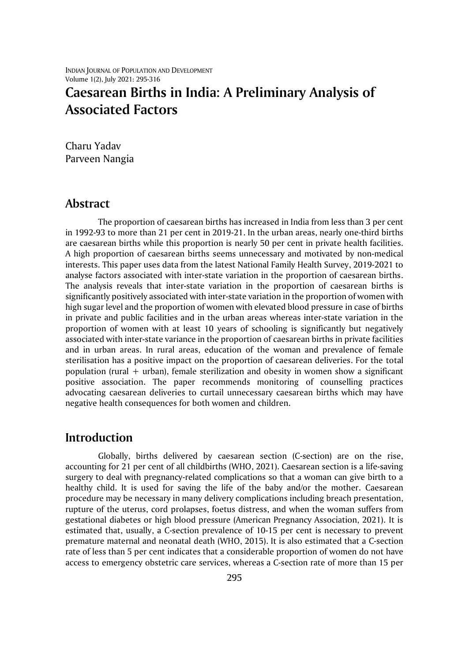INDIAN JOURNAL OF POPULATION AND DEVELOPMENT Volume 1(2), July 2021: 295-316

# **Caesarean Births in India: A Preliminary Analysis of Associated Factors**

Charu Yadav Parveen Nangia

### **Abstract**

The proportion of caesarean births has increased in India from less than 3 per cent in 1992-93 to more than 21 per cent in 2019-21. In the urban areas, nearly one-third births are caesarean births while this proportion is nearly 50 per cent in private health facilities. A high proportion of caesarean births seems unnecessary and motivated by non-medical interests. This paper uses data from the latest National Family Health Survey, 2019-2021 to analyse factors associated with inter-state variation in the proportion of caesarean births. The analysis reveals that inter-state variation in the proportion of caesarean births is significantly positively associated with inter-state variation in the proportion of women with high sugar level and the proportion of women with elevated blood pressure in case of births in private and public facilities and in the urban areas whereas inter-state variation in the proportion of women with at least 10 years of schooling is significantly but negatively associated with inter-state variance in the proportion of caesarean births in private facilities and in urban areas. In rural areas, education of the woman and prevalence of female sterilisation has a positive impact on the proportion of caesarean deliveries. For the total population (rural + urban), female sterilization and obesity in women show a significant positive association. The paper recommends monitoring of counselling practices advocating caesarean deliveries to curtail unnecessary caesarean births which may have negative health consequences for both women and children.

## **Introduction**

Globally, births delivered by caesarean section (C-section) are on the rise, accounting for 21 per cent of all childbirths (WHO, 2021). Caesarean section is a life-saving surgery to deal with pregnancy-related complications so that a woman can give birth to a healthy child. It is used for saving the life of the baby and/or the mother. Caesarean procedure may be necessary in many delivery complications including breach presentation, rupture of the uterus, cord prolapses, foetus distress, and when the woman suffers from gestational diabetes or high blood pressure (American Pregnancy Association, 2021). It is estimated that, usually, a C-section prevalence of 10-15 per cent is necessary to prevent premature maternal and neonatal death (WHO, 2015). It is also estimated that a C-section rate of less than 5 per cent indicates that a considerable proportion of women do not have access to emergency obstetric care services, whereas a C-section rate of more than 15 per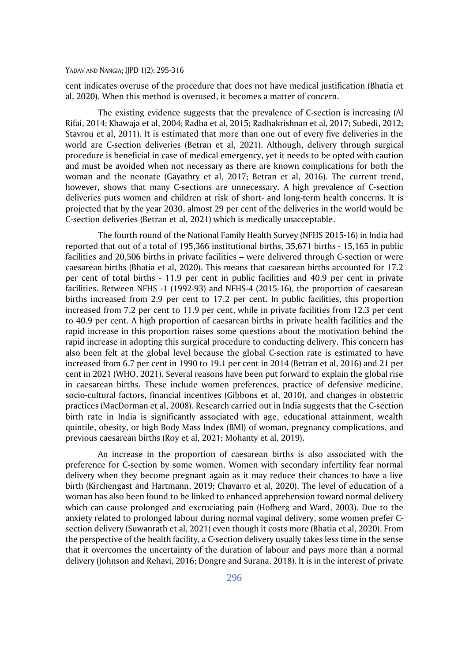cent indicates overuse of the procedure that does not have medical justification (Bhatia et al, 2020). When this method is overused, it becomes a matter of concern.

The existing evidence suggests that the prevalence of C-section is increasing (Al Rifai, 2014; Khawaja et al, 2004; Radha et al, 2015; Radhakrishnan et al, 2017; Subedi, 2012; Stavrou et al, 2011). It is estimated that more than one out of every five deliveries in the world are C-section deliveries (Betran et al, 2021). Although, delivery through surgical procedure is beneficial in case of medical emergency, yet it needs to be opted with caution and must be avoided when not necessary as there are known complications for both the woman and the neonate (Gayathry et al, 2017; Betran et al, 2016). The current trend, however, shows that many C-sections are unnecessary. A high prevalence of C-section deliveries puts women and children at risk of short- and long-term health concerns. It is projected that by the year 2030, almost 29 per cent of the deliveries in the world would be C-section deliveries (Betran et al, 2021) which is medically unacceptable.

The fourth round of the National Family Health Survey (NFHS 2015-16) in India had reported that out of a total of 195,366 institutional births, 35,671 births - 15,165 in public facilities and 20,506 births in private facilities – were delivered through C-section or were caesarean births (Bhatia et al, 2020). This means that caesarean births accounted for 17.2 per cent of total births - 11.9 per cent in public facilities and 40.9 per cent in private facilities. Between NFHS -1 (1992-93) and NFHS-4 (2015-16), the proportion of caesarean births increased from 2.9 per cent to 17.2 per cent. In public facilities, this proportion increased from 7.2 per cent to 11.9 per cent, while in private facilities from 12.3 per cent to 40.9 per cent. A high proportion of caesarean births in private health facilities and the rapid increase in this proportion raises some questions about the motivation behind the rapid increase in adopting this surgical procedure to conducting delivery. This concern has also been felt at the global level because the global C-section rate is estimated to have increased from 6.7 per cent in 1990 to 19.1 per cent in 2014 (Betran et al, 2016) and 21 per cent in 2021 (WHO, 2021). Several reasons have been put forward to explain the global rise in caesarean births. These include women preferences, practice of defensive medicine, socio-cultural factors, financial incentives (Gibbons et al, 2010), and changes in obstetric practices (MacDorman et al, 2008). Research carried out in India suggests that the C-section birth rate in India is significantly associated with age, educational attainment, wealth quintile, obesity, or high Body Mass Index (BMI) of woman, pregnancy complications, and previous caesarean births (Roy et al, 2021; Mohanty et al, 2019).

An increase in the proportion of caesarean births is also associated with the preference for C-section by some women. Women with secondary infertility fear normal delivery when they become pregnant again as it may reduce their chances to have a live birth (Kirchengast and Hartmann, 2019; Chavarro et al, 2020). The level of education of a woman has also been found to be linked to enhanced apprehension toward normal delivery which can cause prolonged and excruciating pain (Hofberg and Ward, 2003). Due to the anxiety related to prolonged labour during normal vaginal delivery, some women prefer Csection delivery (Suwanrath et al, 2021) even though it costs more (Bhatia et al, 2020). From the perspective of the health facility, a C-section delivery usually takes less time in the sense that it overcomes the uncertainty of the duration of labour and pays more than a normal delivery (Johnson and Rehavi, 2016; Dongre and Surana, 2018). It is in the interest of private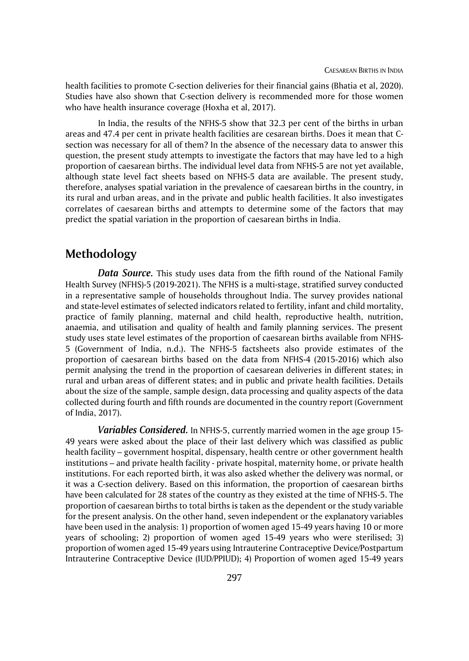health facilities to promote C-section deliveries for their financial gains (Bhatia et al, 2020). Studies have also shown that C-section delivery is recommended more for those women who have health insurance coverage (Hoxha et al, 2017).

In India, the results of the NFHS-5 show that 32.3 per cent of the births in urban areas and 47.4 per cent in private health facilities are cesarean births. Does it mean that Csection was necessary for all of them? In the absence of the necessary data to answer this question, the present study attempts to investigate the factors that may have led to a high proportion of caesarean births. The individual level data from NFHS-5 are not yet available, although state level fact sheets based on NFHS-5 data are available. The present study, therefore, analyses spatial variation in the prevalence of caesarean births in the country, in its rural and urban areas, and in the private and public health facilities. It also investigates correlates of caesarean births and attempts to determine some of the factors that may predict the spatial variation in the proportion of caesarean births in India.

# **Methodology**

*Data Source.* This study uses data from the fifth round of the National Family Health Survey (NFHS)-5 (2019-2021). The NFHS is a multi-stage, stratified survey conducted in a representative sample of households throughout India. The survey provides national and state-level estimates of selected indicators related to fertility, infant and child mortality, practice of family planning, maternal and child health, reproductive health, nutrition, anaemia, and utilisation and quality of health and family planning services. The present study uses state level estimates of the proportion of caesarean births available from NFHS-5 (Government of India, n.d.). The NFHS-5 factsheets also provide estimates of the proportion of caesarean births based on the data from NFHS-4 (2015-2016) which also permit analysing the trend in the proportion of caesarean deliveries in different states; in rural and urban areas of different states; and in public and private health facilities. Details about the size of the sample, sample design, data processing and quality aspects of the data collected during fourth and fifth rounds are documented in the country report (Government of India, 2017).

*Variables Considered.* In NFHS-5, currently married women in the age group 15- 49 years were asked about the place of their last delivery which was classified as public health facility – government hospital, dispensary, health centre or other government health institutions – and private health facility - private hospital, maternity home, or private health institutions. For each reported birth, it was also asked whether the delivery was normal, or it was a C-section delivery. Based on this information, the proportion of caesarean births have been calculated for 28 states of the country as they existed at the time of NFHS-5. The proportion of caesarean births to total births is taken as the dependent or the study variable for the present analysis. On the other hand, seven independent or the explanatory variables have been used in the analysis: 1) proportion of women aged 15-49 years having 10 or more years of schooling; 2) proportion of women aged 15-49 years who were sterilised; 3) proportion of women aged 15-49 years using Intrauterine Contraceptive Device/Postpartum Intrauterine Contraceptive Device (IUD/PPIUD); 4) Proportion of women aged 15-49 years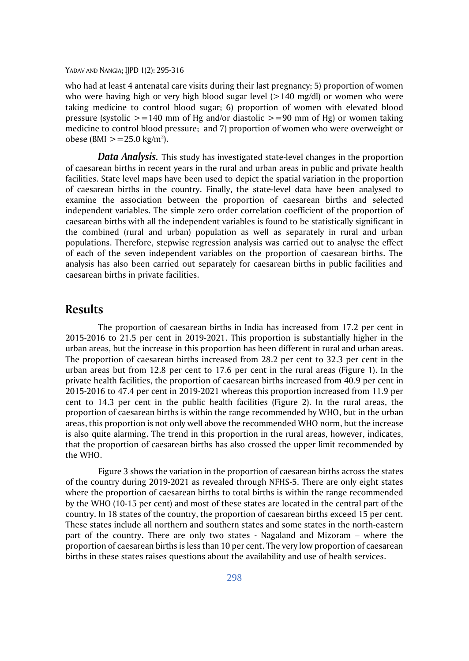who had at least 4 antenatal care visits during their last pregnancy; 5) proportion of women who were having high or very high blood sugar level  $(>140 \text{ mg/dl})$  or women who were taking medicine to control blood sugar; 6) proportion of women with elevated blood pressure (systolic  $> =140$  mm of Hg and/or diastolic  $> =90$  mm of Hg) or women taking medicine to control blood pressure; and 7) proportion of women who were overweight or obese (BMI  $> = 25.0 \text{ kg/m}^2$ ).

*Data Analysis.* This study has investigated state-level changes in the proportion of caesarean births in recent years in the rural and urban areas in public and private health facilities. State level maps have been used to depict the spatial variation in the proportion of caesarean births in the country. Finally, the state-level data have been analysed to examine the association between the proportion of caesarean births and selected independent variables. The simple zero order correlation coefficient of the proportion of caesarean births with all the independent variables is found to be statistically significant in the combined (rural and urban) population as well as separately in rural and urban populations. Therefore, stepwise regression analysis was carried out to analyse the effect of each of the seven independent variables on the proportion of caesarean births. The analysis has also been carried out separately for caesarean births in public facilities and caesarean births in private facilities.

### **Results**

The proportion of caesarean births in India has increased from 17.2 per cent in 2015-2016 to 21.5 per cent in 2019-2021. This proportion is substantially higher in the urban areas, but the increase in this proportion has been different in rural and urban areas. The proportion of caesarean births increased from 28.2 per cent to 32.3 per cent in the urban areas but from 12.8 per cent to 17.6 per cent in the rural areas (Figure 1). In the private health facilities, the proportion of caesarean births increased from 40.9 per cent in 2015-2016 to 47.4 per cent in 2019-2021 whereas this proportion increased from 11.9 per cent to 14.3 per cent in the public health facilities (Figure 2). In the rural areas, the proportion of caesarean births is within the range recommended by WHO, but in the urban areas, this proportion is not only well above the recommended WHO norm, but the increase is also quite alarming. The trend in this proportion in the rural areas, however, indicates, that the proportion of caesarean births has also crossed the upper limit recommended by the WHO.

Figure 3 shows the variation in the proportion of caesarean births across the states of the country during 2019-2021 as revealed through NFHS-5. There are only eight states where the proportion of caesarean births to total births is within the range recommended by the WHO (10-15 per cent) and most of these states are located in the central part of the country. In 18 states of the country, the proportion of caesarean births exceed 15 per cent. These states include all northern and southern states and some states in the north-eastern part of the country. There are only two states - Nagaland and Mizoram – where the proportion of caesarean births is less than 10 per cent. The very low proportion of caesarean births in these states raises questions about the availability and use of health services.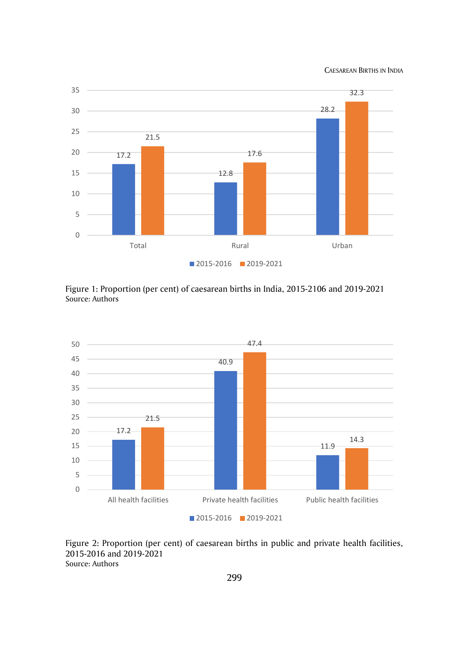CAESAREAN BIRTHS IN INDIA



Figure 1: Proportion (per cent) of caesarean births in India, 2015-2106 and 2019-2021 Source: Authors



Figure 2: Proportion (per cent) of caesarean births in public and private health facilities, 2015-2016 and 2019-2021 Source: Authors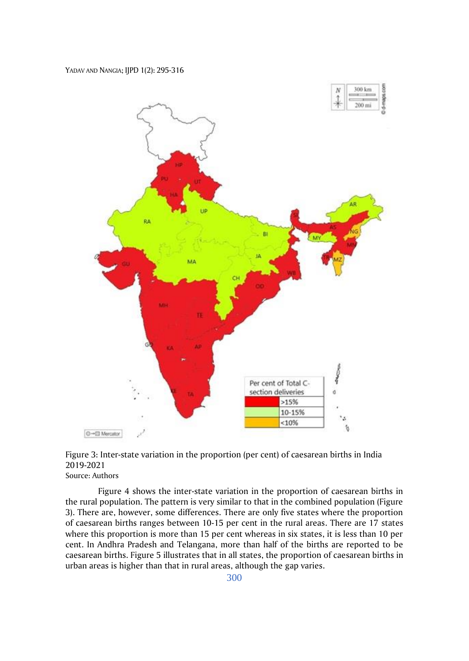

Figure 3: Inter-state variation in the proportion (per cent) of caesarean births in India 2019-2021 Source: Authors

Figure 4 shows the inter-state variation in the proportion of caesarean births in the rural population. The pattern is very similar to that in the combined population (Figure 3). There are, however, some differences. There are only five states where the proportion of caesarean births ranges between 10-15 per cent in the rural areas. There are 17 states where this proportion is more than 15 per cent whereas in six states, it is less than 10 per cent. In Andhra Pradesh and Telangana, more than half of the births are reported to be caesarean births. Figure 5 illustrates that in all states, the proportion of caesarean births in urban areas is higher than that in rural areas, although the gap varies.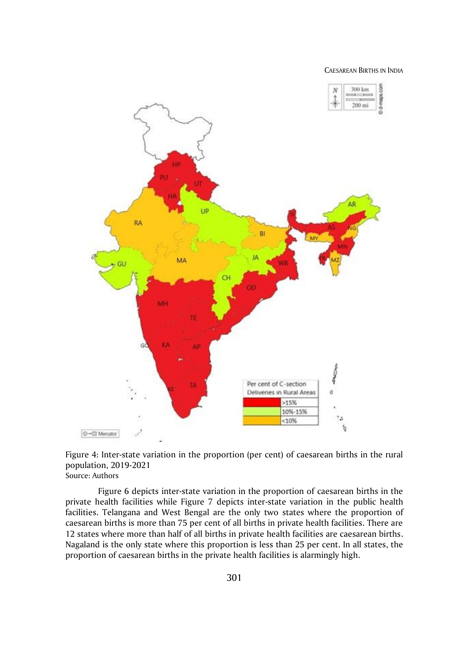CAESAREAN BIRTHS IN INDIA



Figure 4: Inter-state variation in the proportion (per cent) of caesarean births in the rural population, 2019-2021 Source: Authors

Figure 6 depicts inter-state variation in the proportion of caesarean births in the private health facilities while Figure 7 depicts inter-state variation in the public health facilities. Telangana and West Bengal are the only two states where the proportion of caesarean births is more than 75 per cent of all births in private health facilities. There are 12 states where more than half of all births in private health facilities are caesarean births. Nagaland is the only state where this proportion is less than 25 per cent. In all states, the proportion of caesarean births in the private health facilities is alarmingly high.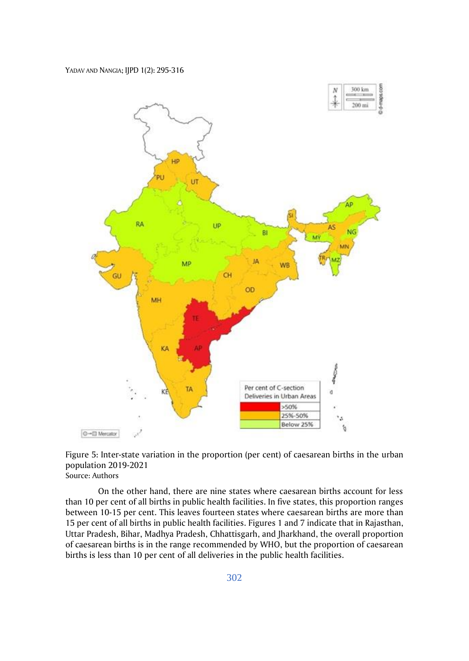

Figure 5: Inter-state variation in the proportion (per cent) of caesarean births in the urban population 2019-2021 Source: Authors

On the other hand, there are nine states where caesarean births account for less than 10 per cent of all births in public health facilities. In five states, this proportion ranges between 10-15 per cent. This leaves fourteen states where caesarean births are more than 15 per cent of all births in public health facilities. Figures 1 and 7 indicate that in Rajasthan, Uttar Pradesh, Bihar, Madhya Pradesh, Chhattisgarh, and Jharkhand, the overall proportion of caesarean births is in the range recommended by WHO, but the proportion of caesarean births is less than 10 per cent of all deliveries in the public health facilities.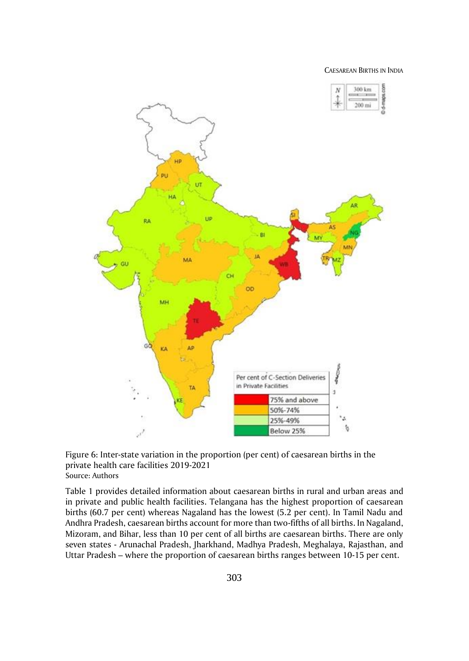CAESAREAN BIRTHS IN INDIA



Figure 6: Inter-state variation in the proportion (per cent) of caesarean births in the private health care facilities 2019-2021 Source: Authors

Table 1 provides detailed information about caesarean births in rural and urban areas and in private and public health facilities. Telangana has the highest proportion of caesarean births (60.7 per cent) whereas Nagaland has the lowest (5.2 per cent). In Tamil Nadu and Andhra Pradesh, caesarean births account for more than two-fifths of all births. In Nagaland, Mizoram, and Bihar, less than 10 per cent of all births are caesarean births. There are only seven states - Arunachal Pradesh, Jharkhand, Madhya Pradesh, Meghalaya, Rajasthan, and Uttar Pradesh – where the proportion of caesarean births ranges between 10-15 per cent.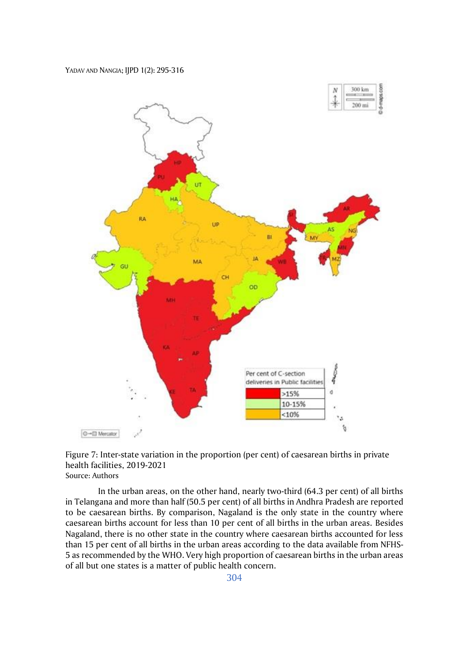

Figure 7: Inter-state variation in the proportion (per cent) of caesarean births in private health facilities, 2019-2021 Source: Authors

In the urban areas, on the other hand, nearly two-third (64.3 per cent) of all births in Telangana and more than half (50.5 per cent) of all births in Andhra Pradesh are reported to be caesarean births. By comparison, Nagaland is the only state in the country where caesarean births account for less than 10 per cent of all births in the urban areas. Besides Nagaland, there is no other state in the country where caesarean births accounted for less than 15 per cent of all births in the urban areas according to the data available from NFHS-5 as recommended by the WHO. Very high proportion of caesarean births in the urban areas of all but one states is a matter of public health concern.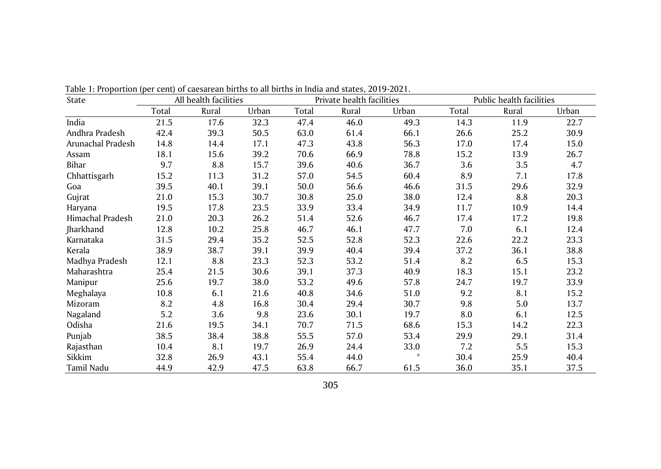| State             | All health facilities |       |       |       | Private health facilities |       | Public health facilities |       |       |  |
|-------------------|-----------------------|-------|-------|-------|---------------------------|-------|--------------------------|-------|-------|--|
|                   | Total                 | Rural | Urban | Total | Rural                     | Urban | Total                    | Rural | Urban |  |
| India             | 21.5                  | 17.6  | 32.3  | 47.4  | 46.0                      | 49.3  | 14.3                     | 11.9  | 22.7  |  |
| Andhra Pradesh    | 42.4                  | 39.3  | 50.5  | 63.0  | 61.4                      | 66.1  | 26.6                     | 25.2  | 30.9  |  |
| Arunachal Pradesh | 14.8                  | 14.4  | 17.1  | 47.3  | 43.8                      | 56.3  | 17.0                     | 17.4  | 15.0  |  |
| Assam             | 18.1                  | 15.6  | 39.2  | 70.6  | 66.9                      | 78.8  | 15.2                     | 13.9  | 26.7  |  |
| Bihar             | 9.7                   | 8.8   | 15.7  | 39.6  | 40.6                      | 36.7  | 3.6                      | 3.5   | 4.7   |  |
| Chhattisgarh      | 15.2                  | 11.3  | 31.2  | 57.0  | 54.5                      | 60.4  | 8.9                      | 7.1   | 17.8  |  |
| Goa               | 39.5                  | 40.1  | 39.1  | 50.0  | 56.6                      | 46.6  | 31.5                     | 29.6  | 32.9  |  |
| Gujrat            | 21.0                  | 15.3  | 30.7  | 30.8  | 25.0                      | 38.0  | 12.4                     | 8.8   | 20.3  |  |
| Haryana           | 19.5                  | 17.8  | 23.5  | 33.9  | 33.4                      | 34.9  | 11.7                     | 10.9  | 14.4  |  |
| Himachal Pradesh  | 21.0                  | 20.3  | 26.2  | 51.4  | 52.6                      | 46.7  | 17.4                     | 17.2  | 19.8  |  |
| Jharkhand         | 12.8                  | 10.2  | 25.8  | 46.7  | 46.1                      | 47.7  | 7.0                      | 6.1   | 12.4  |  |
| Karnataka         | 31.5                  | 29.4  | 35.2  | 52.5  | 52.8                      | 52.3  | 22.6                     | 22.2  | 23.3  |  |
| Kerala            | 38.9                  | 38.7  | 39.1  | 39.9  | 40.4                      | 39.4  | 37.2                     | 36.1  | 38.8  |  |
| Madhya Pradesh    | 12.1                  | 8.8   | 23.3  | 52.3  | 53.2                      | 51.4  | 8.2                      | 6.5   | 15.3  |  |
| Maharashtra       | 25.4                  | 21.5  | 30.6  | 39.1  | 37.3                      | 40.9  | 18.3                     | 15.1  | 23.2  |  |
| Manipur           | 25.6                  | 19.7  | 38.0  | 53.2  | 49.6                      | 57.8  | 24.7                     | 19.7  | 33.9  |  |
| Meghalaya         | 10.8                  | 6.1   | 21.6  | 40.8  | 34.6                      | 51.0  | 9.2                      | 8.1   | 15.2  |  |
| Mizoram           | 8.2                   | 4.8   | 16.8  | 30.4  | 29.4                      | 30.7  | 9.8                      | 5.0   | 13.7  |  |
| Nagaland          | 5.2                   | 3.6   | 9.8   | 23.6  | 30.1                      | 19.7  | 8.0                      | 6.1   | 12.5  |  |
| Odisha            | 21.6                  | 19.5  | 34.1  | 70.7  | 71.5                      | 68.6  | 15.3                     | 14.2  | 22.3  |  |
| Punjab            | 38.5                  | 38.4  | 38.8  | 55.5  | 57.0                      | 53.4  | 29.9                     | 29.1  | 31.4  |  |
| Rajasthan         | 10.4                  | 8.1   | 19.7  | 26.9  | 24.4                      | 33.0  | 7.2                      | 5.5   | 15.3  |  |
| Sikkim            | 32.8                  | 26.9  | 43.1  | 55.4  | 44.0                      | *     | 30.4                     | 25.9  | 40.4  |  |
| Tamil Nadu        | 44.9                  | 42.9  | 47.5  | 63.8  | 66.7                      | 61.5  | 36.0                     | 35.1  | 37.5  |  |

Table 1: Proportion (per cent) of caesarean births to all births in India and states, 2019-2021.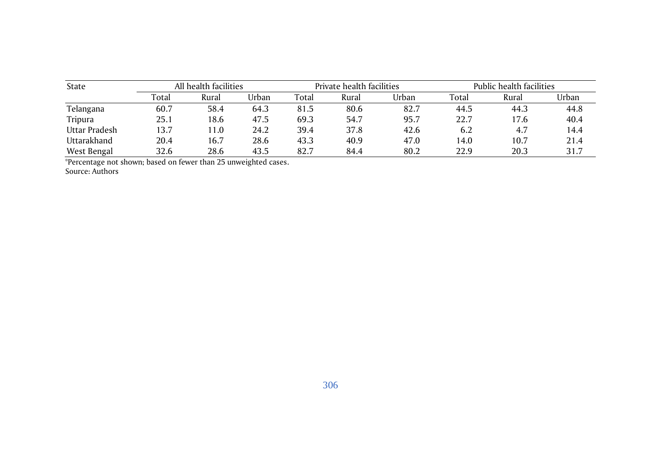| State         |       | All health facilities |       |       | Private health facilities |       | Public health facilities |       |       |  |
|---------------|-------|-----------------------|-------|-------|---------------------------|-------|--------------------------|-------|-------|--|
|               | Total | Rural                 | Urban | Total | Rural                     | Urban | Total                    | Rural | Urban |  |
| Telangana     | 60.7  | 58.4                  | 64.3  | 81.5  | 80.6                      | 82.7  | 44.5                     | 44.3  | 44.8  |  |
| Tripura       | 25.1  | 18.6                  | 47.5  | 69.3  | 54.7                      | 95.7  | 22.7                     | 17.6  | 40.4  |  |
| Uttar Pradesh | 13.7  | $\vert 1.0 \vert$     | 24.2  | 39.4  | 37.8                      | 42.6  | 6.2                      | 4.7   | 14.4  |  |
| Uttarakhand   | 20.4  | 16.7                  | 28.6  | 43.3  | 40.9                      | 47.0  | 14.0                     | 10.7  | 21.4  |  |
| West Bengal   | 32.6  | 28.6                  | 43.5  | 82.7  | 84.4                      | 80.2  | 22.9                     | 20.3  | 31.7  |  |

\*Percentage not shown; based on fewer than 25 unweighted cases.

Source: Authors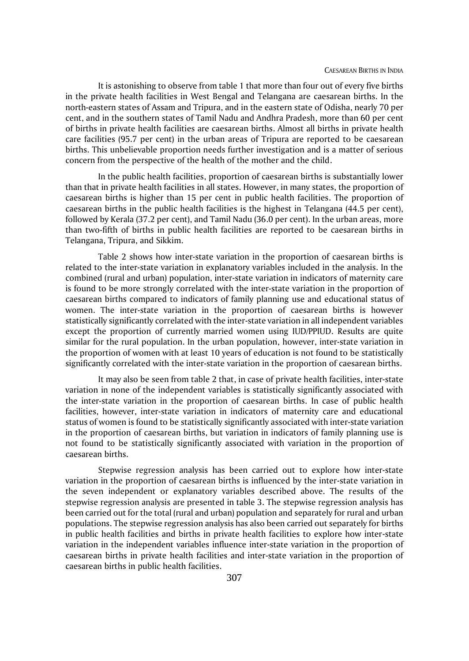It is astonishing to observe from table 1 that more than four out of every five births in the private health facilities in West Bengal and Telangana are caesarean births. In the north-eastern states of Assam and Tripura, and in the eastern state of Odisha, nearly 70 per cent, and in the southern states of Tamil Nadu and Andhra Pradesh, more than 60 per cent of births in private health facilities are caesarean births. Almost all births in private health care facilities (95.7 per cent) in the urban areas of Tripura are reported to be caesarean births. This unbelievable proportion needs further investigation and is a matter of serious concern from the perspective of the health of the mother and the child.

In the public health facilities, proportion of caesarean births is substantially lower than that in private health facilities in all states. However, in many states, the proportion of caesarean births is higher than 15 per cent in public health facilities. The proportion of caesarean births in the public health facilities is the highest in Telangana (44.5 per cent), followed by Kerala (37.2 per cent), and Tamil Nadu (36.0 per cent). In the urban areas, more than two-fifth of births in public health facilities are reported to be caesarean births in Telangana, Tripura, and Sikkim.

Table 2 shows how inter-state variation in the proportion of caesarean births is related to the inter-state variation in explanatory variables included in the analysis. In the combined (rural and urban) population, inter-state variation in indicators of maternity care is found to be more strongly correlated with the inter-state variation in the proportion of caesarean births compared to indicators of family planning use and educational status of women. The inter-state variation in the proportion of caesarean births is however statistically significantly correlated with the inter-state variation in all independent variables except the proportion of currently married women using IUD/PPIUD. Results are quite similar for the rural population. In the urban population, however, inter-state variation in the proportion of women with at least 10 years of education is not found to be statistically significantly correlated with the inter-state variation in the proportion of caesarean births.

It may also be seen from table 2 that, in case of private health facilities, inter-state variation in none of the independent variables is statistically significantly associated with the inter-state variation in the proportion of caesarean births. In case of public health facilities, however, inter-state variation in indicators of maternity care and educational status of women is found to be statistically significantly associated with inter-state variation in the proportion of caesarean births, but variation in indicators of family planning use is not found to be statistically significantly associated with variation in the proportion of caesarean births.

Stepwise regression analysis has been carried out to explore how inter-state variation in the proportion of caesarean births is influenced by the inter-state variation in the seven independent or explanatory variables described above. The results of the stepwise regression analysis are presented in table 3. The stepwise regression analysis has been carried out for the total (rural and urban) population and separately for rural and urban populations. The stepwise regression analysis has also been carried out separately for births in public health facilities and births in private health facilities to explore how inter-state variation in the independent variables influence inter-state variation in the proportion of caesarean births in private health facilities and inter-state variation in the proportion of caesarean births in public health facilities.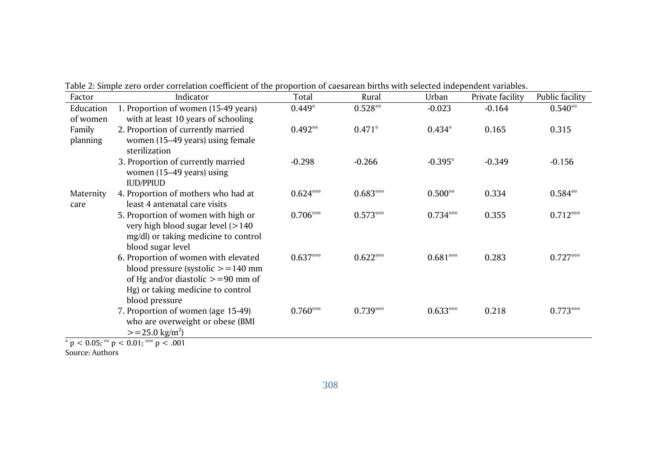| Factor                         | Indicator                                                                                                                                                                     | Total      | Rural      | Urban      | Private facility | Public facility |
|--------------------------------|-------------------------------------------------------------------------------------------------------------------------------------------------------------------------------|------------|------------|------------|------------------|-----------------|
| Education                      | 1. Proportion of women (15-49 years)                                                                                                                                          | $0.449*$   | $0.528**$  | $-0.023$   | $-0.164$         | $0.540**$       |
| of women<br>Family<br>planning | with at least 10 years of schooling<br>2. Proportion of currently married<br>women (15-49 years) using female<br>sterilization                                                | $0.492**$  | $0.471*$   | $0.434*$   | 0.165            | 0.315           |
|                                | 3. Proportion of currently married<br>women (15–49 years) using<br><b>IUD/PPIUD</b>                                                                                           | $-0.298$   | $-0.266$   | $-0.395*$  | $-0.349$         | $-0.156$        |
| Maternity<br>care              | 4. Proportion of mothers who had at<br>least 4 antenatal care visits                                                                                                          | $0.624***$ | $0.683***$ | $0.500**$  | 0.334            | $0.584**$       |
|                                | 5. Proportion of women with high or<br>very high blood sugar level $(>140$<br>mg/dl) or taking medicine to control<br>blood sugar level                                       | $0.706***$ | $0.573***$ | $0.734***$ | 0.355            | $0.712***$      |
|                                | 6. Proportion of women with elevated<br>blood pressure (systolic $> = 140$ mm<br>of Hg and/or diastolic $> = 90$ mm of<br>Hg) or taking medicine to control<br>blood pressure | $0.637***$ | $0.622***$ | $0.681***$ | 0.283            | $0.727***$      |
|                                | 7. Proportion of women (age 15-49)<br>who are overweight or obese (BMI<br>$> = 25.0$ kg/m <sup>2</sup> )                                                                      | $0.760***$ | $0.739***$ | $0.633***$ | 0.218            | $0.773***$      |

Table 2: Simple zero order correlation coefficient of the proportion of caesarean births with selected independent variables.

 $\frac{1}{2}$   $\frac{1}{2}$  p < 0.05;  $\frac{1}{2}$  p < 0.01;  $\frac{1}{2}$  p < .001

Source: Authors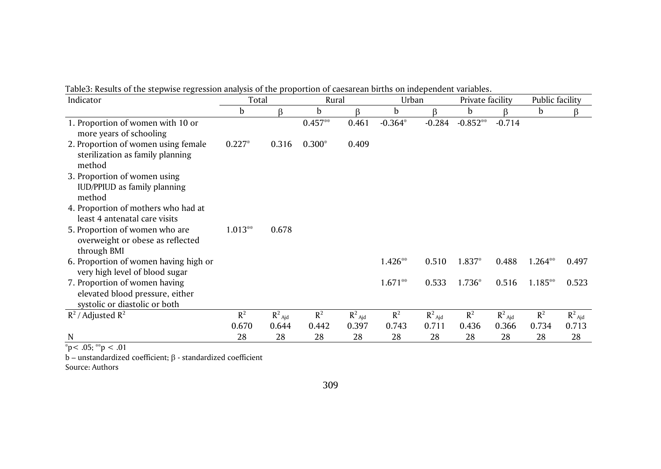| Indicator                                                                                         | Total     |                      | Rural     |           | Urban     |           | Private facility |           | Public facility |                      |
|---------------------------------------------------------------------------------------------------|-----------|----------------------|-----------|-----------|-----------|-----------|------------------|-----------|-----------------|----------------------|
|                                                                                                   | b         | ß                    | b         | ß         | b         | ß         | b                |           | b               |                      |
| 1. Proportion of women with 10 or<br>more years of schooling                                      |           |                      | $0.457**$ | 0.461     | $-0.364*$ | $-0.284$  | $-0.852**$       | $-0.714$  |                 |                      |
| 2. Proportion of women using female<br>sterilization as family planning<br>method                 | $0.227*$  | 0.316                | $0.300*$  | 0.409     |           |           |                  |           |                 |                      |
| 3. Proportion of women using<br>IUD/PPIUD as family planning<br>method                            |           |                      |           |           |           |           |                  |           |                 |                      |
| 4. Proportion of mothers who had at<br>least 4 antenatal care visits                              |           |                      |           |           |           |           |                  |           |                 |                      |
| 5. Proportion of women who are<br>overweight or obese as reflected<br>through BMI                 | $1.013**$ | 0.678                |           |           |           |           |                  |           |                 |                      |
| 6. Proportion of women having high or<br>very high level of blood sugar                           |           |                      |           |           | $1.426**$ | 0.510     | 1.837*           | 0.488     | $1.264**$       | 0.497                |
| 7. Proportion of women having<br>elevated blood pressure, either<br>systolic or diastolic or both |           |                      |           |           | $1.671**$ | 0.533     | 1.736*           | 0.516     | 1.185**         | 0.523                |
| $R^2$ / Adjusted $R^2$                                                                            | $R^2$     | $R^2$ <sub>Ajd</sub> | $R^2$     | $R^2$ Ajd | $R^2$     | $R^2$ Aid | $R^2$            | $R^2$ Ajd | $R^2$           | $R^2$ <sub>Ajd</sub> |
|                                                                                                   | 0.670     | 0.644                | 0.442     | 0.397     | 0.743     | 0.711     | 0.436            | 0.366     | 0.734           | 0.713                |
| N                                                                                                 | 28        | 28                   | 28        | 28        | 28        | 28        | 28               | 28        | 28              | 28                   |

Table3: Results of the stepwise regression analysis of the proportion of caesarean births on independent variables.

 $p < .05$ ; \*\*p < .01

b – unstandardized coefficient;  $\beta$  - standardized coefficient

Source: Authors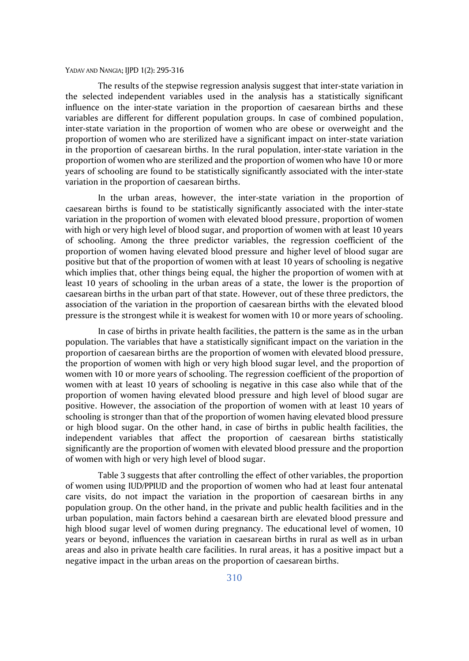The results of the stepwise regression analysis suggest that inter-state variation in the selected independent variables used in the analysis has a statistically significant influence on the inter-state variation in the proportion of caesarean births and these variables are different for different population groups. In case of combined population, inter-state variation in the proportion of women who are obese or overweight and the proportion of women who are sterilized have a significant impact on inter-state variation in the proportion of caesarean births. In the rural population, inter-state variation in the proportion of women who are sterilized and the proportion of women who have 10 or more years of schooling are found to be statistically significantly associated with the inter-state variation in the proportion of caesarean births.

In the urban areas, however, the inter-state variation in the proportion of caesarean births is found to be statistically significantly associated with the inter-state variation in the proportion of women with elevated blood pressure, proportion of women with high or very high level of blood sugar, and proportion of women with at least 10 years of schooling. Among the three predictor variables, the regression coefficient of the proportion of women having elevated blood pressure and higher level of blood sugar are positive but that of the proportion of women with at least 10 years of schooling is negative which implies that, other things being equal, the higher the proportion of women with at least 10 years of schooling in the urban areas of a state, the lower is the proportion of caesarean births in the urban part of that state. However, out of these three predictors, the association of the variation in the proportion of caesarean births with the elevated blood pressure is the strongest while it is weakest for women with 10 or more years of schooling.

In case of births in private health facilities, the pattern is the same as in the urban population. The variables that have a statistically significant impact on the variation in the proportion of caesarean births are the proportion of women with elevated blood pressure, the proportion of women with high or very high blood sugar level, and the proportion of women with 10 or more years of schooling. The regression coefficient of the proportion of women with at least 10 years of schooling is negative in this case also while that of the proportion of women having elevated blood pressure and high level of blood sugar are positive. However, the association of the proportion of women with at least 10 years of schooling is stronger than that of the proportion of women having elevated blood pressure or high blood sugar. On the other hand, in case of births in public health facilities, the independent variables that affect the proportion of caesarean births statistically significantly are the proportion of women with elevated blood pressure and the proportion of women with high or very high level of blood sugar.

Table 3 suggests that after controlling the effect of other variables, the proportion of women using IUD/PPIUD and the proportion of women who had at least four antenatal care visits, do not impact the variation in the proportion of caesarean births in any population group. On the other hand, in the private and public health facilities and in the urban population, main factors behind a caesarean birth are elevated blood pressure and high blood sugar level of women during pregnancy. The educational level of women, 10 years or beyond, influences the variation in caesarean births in rural as well as in urban areas and also in private health care facilities. In rural areas, it has a positive impact but a negative impact in the urban areas on the proportion of caesarean births.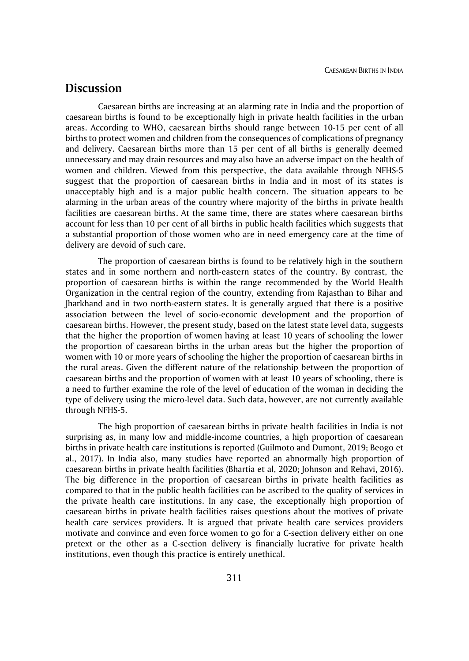### **Discussion**

Caesarean births are increasing at an alarming rate in India and the proportion of caesarean births is found to be exceptionally high in private health facilities in the urban areas. According to WHO, caesarean births should range between 10-15 per cent of all births to protect women and children from the consequences of complications of pregnancy and delivery. Caesarean births more than 15 per cent of all births is generally deemed unnecessary and may drain resources and may also have an adverse impact on the health of women and children. Viewed from this perspective, the data available through NFHS-5 suggest that the proportion of caesarean births in India and in most of its states is unacceptably high and is a major public health concern. The situation appears to be alarming in the urban areas of the country where majority of the births in private health facilities are caesarean births. At the same time, there are states where caesarean births account for less than 10 per cent of all births in public health facilities which suggests that a substantial proportion of those women who are in need emergency care at the time of delivery are devoid of such care.

The proportion of caesarean births is found to be relatively high in the southern states and in some northern and north-eastern states of the country. By contrast, the proportion of caesarean births is within the range recommended by the World Health Organization in the central region of the country, extending from Rajasthan to Bihar and Jharkhand and in two north-eastern states. It is generally argued that there is a positive association between the level of socio-economic development and the proportion of caesarean births. However, the present study, based on the latest state level data, suggests that the higher the proportion of women having at least 10 years of schooling the lower the proportion of caesarean births in the urban areas but the higher the proportion of women with 10 or more years of schooling the higher the proportion of caesarean births in the rural areas. Given the different nature of the relationship between the proportion of caesarean births and the proportion of women with at least 10 years of schooling, there is a need to further examine the role of the level of education of the woman in deciding the type of delivery using the micro-level data. Such data, however, are not currently available through NFHS-5.

The high proportion of caesarean births in private health facilities in India is not surprising as, in many low and middle-income countries, a high proportion of caesarean births in private health care institutions is reported (Guilmoto and Dumont, 2019; Beogo et al., 2017). In India also, many studies have reported an abnormally high proportion of caesarean births in private health facilities (Bhartia et al, 2020; Johnson and Rehavi, 2016). The big difference in the proportion of caesarean births in private health facilities as compared to that in the public health facilities can be ascribed to the quality of services in the private health care institutions. In any case, the exceptionally high proportion of caesarean births in private health facilities raises questions about the motives of private health care services providers. It is argued that private health care services providers motivate and convince and even force women to go for a C-section delivery either on one pretext or the other as a C-section delivery is financially lucrative for private health institutions, even though this practice is entirely unethical.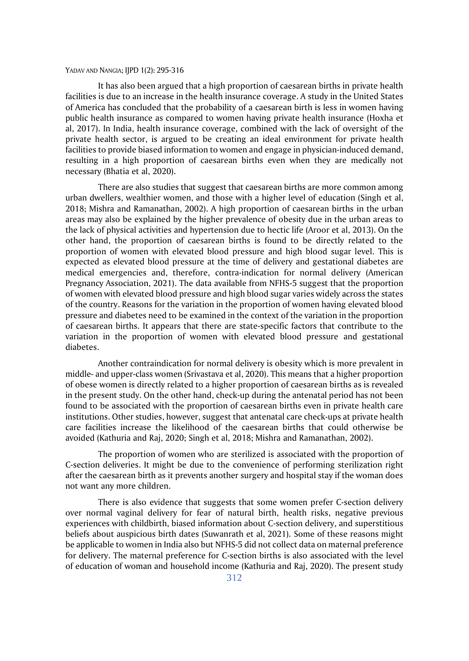It has also been argued that a high proportion of caesarean births in private health facilities is due to an increase in the health insurance coverage. A study in the United States of America has concluded that the probability of a caesarean birth is less in women having public health insurance as compared to women having private health insurance (Hoxha et al, 2017). In India, health insurance coverage, combined with the lack of oversight of the private health sector, is argued to be creating an ideal environment for private health facilities to provide biased information to women and engage in physician-induced demand, resulting in a high proportion of caesarean births even when they are medically not necessary (Bhatia et al, 2020).

There are also studies that suggest that caesarean births are more common among urban dwellers, wealthier women, and those with a higher level of education (Singh et al, 2018; Mishra and Ramanathan, 2002). A high proportion of caesarean births in the urban areas may also be explained by the higher prevalence of obesity due in the urban areas to the lack of physical activities and hypertension due to hectic life (Aroor et al, 2013). On the other hand, the proportion of caesarean births is found to be directly related to the proportion of women with elevated blood pressure and high blood sugar level. This is expected as elevated blood pressure at the time of delivery and gestational diabetes are medical emergencies and, therefore, contra-indication for normal delivery (American Pregnancy Association, 2021). The data available from NFHS-5 suggest that the proportion of women with elevated blood pressure and high blood sugar varies widely across the states of the country. Reasons for the variation in the proportion of women having elevated blood pressure and diabetes need to be examined in the context of the variation in the proportion of caesarean births. It appears that there are state-specific factors that contribute to the variation in the proportion of women with elevated blood pressure and gestational diabetes.

Another contraindication for normal delivery is obesity which is more prevalent in middle- and upper-class women (Srivastava et al, 2020). This means that a higher proportion of obese women is directly related to a higher proportion of caesarean births as is revealed in the present study. On the other hand, check-up during the antenatal period has not been found to be associated with the proportion of caesarean births even in private health care institutions. Other studies, however, suggest that antenatal care check-ups at private health care facilities increase the likelihood of the caesarean births that could otherwise be avoided (Kathuria and Raj, 2020; Singh et al, 2018; Mishra and Ramanathan, 2002).

The proportion of women who are sterilized is associated with the proportion of C-section deliveries. It might be due to the convenience of performing sterilization right after the caesarean birth as it prevents another surgery and hospital stay if the woman does not want any more children.

There is also evidence that suggests that some women prefer C-section delivery over normal vaginal delivery for fear of natural birth, health risks, negative previous experiences with childbirth, biased information about C-section delivery, and superstitious beliefs about auspicious birth dates (Suwanrath et al, 2021). Some of these reasons might be applicable to women in India also but NFHS-5 did not collect data on maternal preference for delivery. The maternal preference for C-section births is also associated with the level of education of woman and household income (Kathuria and Raj, 2020). The present study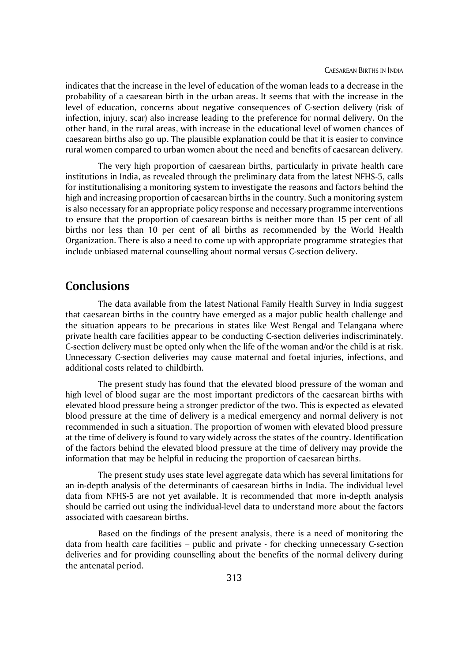indicates that the increase in the level of education of the woman leads to a decrease in the probability of a caesarean birth in the urban areas. It seems that with the increase in the level of education, concerns about negative consequences of C-section delivery (risk of infection, injury, scar) also increase leading to the preference for normal delivery. On the other hand, in the rural areas, with increase in the educational level of women chances of caesarean births also go up. The plausible explanation could be that it is easier to convince rural women compared to urban women about the need and benefits of caesarean delivery.

The very high proportion of caesarean births, particularly in private health care institutions in India, as revealed through the preliminary data from the latest NFHS-5, calls for institutionalising a monitoring system to investigate the reasons and factors behind the high and increasing proportion of caesarean births in the country. Such a monitoring system is also necessary for an appropriate policy response and necessary programme interventions to ensure that the proportion of caesarean births is neither more than 15 per cent of all births nor less than 10 per cent of all births as recommended by the World Health Organization. There is also a need to come up with appropriate programme strategies that include unbiased maternal counselling about normal versus C-section delivery.

## **Conclusions**

The data available from the latest National Family Health Survey in India suggest that caesarean births in the country have emerged as a major public health challenge and the situation appears to be precarious in states like West Bengal and Telangana where private health care facilities appear to be conducting C-section deliveries indiscriminately. C-section delivery must be opted only when the life of the woman and/or the child is at risk. Unnecessary C-section deliveries may cause maternal and foetal injuries, infections, and additional costs related to childbirth.

The present study has found that the elevated blood pressure of the woman and high level of blood sugar are the most important predictors of the caesarean births with elevated blood pressure being a stronger predictor of the two. This is expected as elevated blood pressure at the time of delivery is a medical emergency and normal delivery is not recommended in such a situation. The proportion of women with elevated blood pressure at the time of delivery is found to vary widely across the states of the country. Identification of the factors behind the elevated blood pressure at the time of delivery may provide the information that may be helpful in reducing the proportion of caesarean births.

The present study uses state level aggregate data which has several limitations for an in-depth analysis of the determinants of caesarean births in India. The individual level data from NFHS-5 are not yet available. It is recommended that more in-depth analysis should be carried out using the individual-level data to understand more about the factors associated with caesarean births.

Based on the findings of the present analysis, there is a need of monitoring the data from health care facilities – public and private - for checking unnecessary C-section deliveries and for providing counselling about the benefits of the normal delivery during the antenatal period.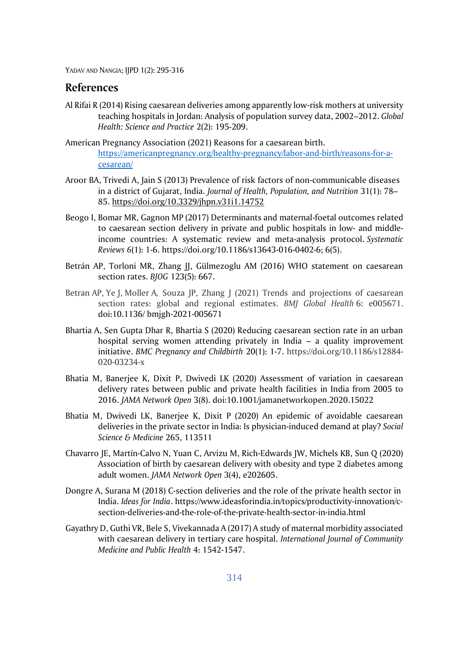### **References**

- Al Rifai R (2014) Rising caesarean deliveries among apparently low-risk mothers at university teaching hospitals in Jordan: Analysis of population survey data, 2002–2012. *Global Health: Science and Practice* 2(2): 195-209.
- American Pregnancy Association (2021) Reasons for a caesarean birth. [https://americanpregnancy.org/healthy-pregnancy/labor-and-birth/reasons-for-a](https://americanpregnancy.org/healthy-pregnancy/labor-and-birth/reasons-for-a-cesarean/)[cesarean/](https://americanpregnancy.org/healthy-pregnancy/labor-and-birth/reasons-for-a-cesarean/)
- Aroor BA, Trivedi A, Jain S (2013) Prevalence of risk factors of non-communicable diseases in a district of Gujarat, India. *Journal of Health, Population, and Nutrition* 31(1): 78– 85.<https://doi.org/10.3329/jhpn.v31i1.14752>
- Beogo I, Bomar MR, Gagnon MP (2017) Determinants and maternal-foetal outcomes related to caesarean section delivery in private and public hospitals in low- and middleincome countries: A systematic review and meta-analysis protocol. *Systematic Reviews 6*(1): 1-6. https://doi.org/10.1186/s13643-016-0402-6; 6(5).
- Betrán AP, Torloni MR, Zhang JJ, Gülmezoglu AM (2016) WHO statement on caesarean section rates. *BJOG* 123(5): 667.
- Betran AP, Ye J, Moller A, Souza JP, Zhang J (2021) Trends and projections of caesarean section rates: global and regional estimates. *BMJ Global Health* 6**:** e005671. doi:10.1136/ bmjgh-2021-005671
- Bhartia A, Sen Gupta Dhar R, Bhartia S (2020) Reducing caesarean section rate in an urban hospital serving women attending privately in India – a quality improvement initiative. *BMC Pregnancy and Childbirth* 20(1): 1-7. https://doi.org/10.1186/s12884- 020-03234-x
- Bhatia M, Banerjee K, Dixit P, Dwivedi LK (2020) Assessment of variation in caesarean delivery rates between public and private health facilities in India from 2005 to 2016. *JAMA Network Open* 3(8). doi:10.1001/jamanetworkopen.2020.15022
- Bhatia M, Dwivedi LK, Banerjee K, Dixit P (2020) An epidemic of avoidable caesarean deliveries in the private sector in India: Is physician-induced demand at play? *Social Science & Medicine* 265, 113511
- Chavarro JE, Martín-Calvo N, Yuan C, Arvizu M, Rich-Edwards JW, Michels KB, Sun Q (2020) Association of birth by caesarean delivery with obesity and type 2 diabetes among adult women. *JAMA Network Open* 3(4), e202605.
- Dongre A, Surana M (2018) C-section deliveries and the role of the private health sector in India. *Ideas for India*. [https://www.ideasforindia.in/topics/productivity-innovation/c](https://www.ideasforindia.in/topics/productivity-innovation/c-section-deliveries-and-the-role-of-the-private-health-sector-in-india.html)[section-deliveries-and-the-role-of-the-private-health-sector-in-india.html](https://www.ideasforindia.in/topics/productivity-innovation/c-section-deliveries-and-the-role-of-the-private-health-sector-in-india.html)
- Gayathry D, Guthi VR, Bele S, Vivekannada A (2017) A study of maternal morbidity associated with caesarean delivery in tertiary care hospital. *International Journal of Community Medicine and Public Health* 4: 1542-1547.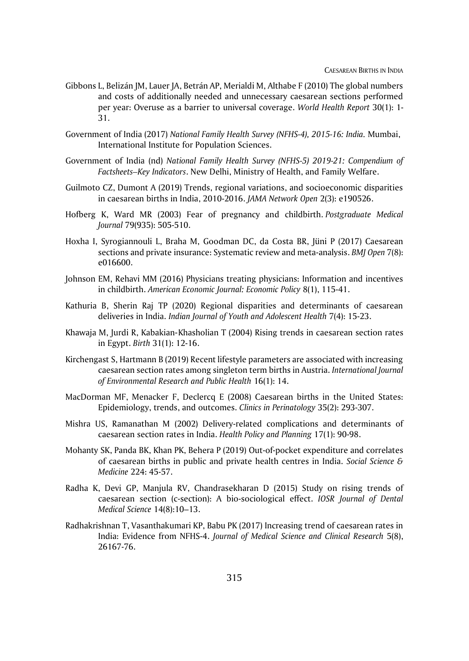- Gibbons L, Belizán JM, Lauer JA, Betrán AP, Merialdi M, Althabe F (2010) The global numbers and costs of additionally needed and unnecessary caesarean sections performed per year: Overuse as a barrier to universal coverage. *World Health Report* 30(1): 1- 31.
- Government of India (2017) *National Family Health Survey (NFHS-4), 2015-16: India.* Mumbai, International Institute for Population Sciences.
- Government of India (nd) *National Family Health Survey (NFHS-5) 2019-21: Compendium of Factsheets–Key Indicators*. New Delhi, Ministry of Health, and Family Welfare.
- Guilmoto CZ, Dumont A (2019) Trends, regional variations, and socioeconomic disparities in caesarean births in India, 2010-2016. *JAMA Network Open* 2(3): e190526.
- Hofberg K, Ward MR (2003) Fear of pregnancy and childbirth. *Postgraduate Medical Journal* 79(935): 505-510.
- Hoxha I, Syrogiannouli L, Braha M, Goodman DC, da Costa BR, Jüni P (2017) Caesarean sections and private insurance: Systematic review and meta-analysis. *BMJ Open* 7(8): e016600.
- Johnson EM, Rehavi MM (2016) Physicians treating physicians: Information and incentives in childbirth. *American Economic Journal: Economic Policy* 8(1), 115-41.
- Kathuria B, Sherin Raj TP (2020) Regional disparities and determinants of caesarean deliveries in India. *Indian Journal of Youth and Adolescent Health* 7(4): 15-23.
- Khawaja M, Jurdi R, Kabakian‐Khasholian T (2004) Rising trends in caesarean section rates in Egypt. *Birth* 31(1): 12-16.
- Kirchengast S, Hartmann B (2019) Recent lifestyle parameters are associated with increasing caesarean section rates among singleton term births in Austria. *International Journal of Environmental Research and Public Health* 16(1): 14.
- MacDorman MF, Menacker F, Declercq E (2008) Caesarean births in the United States: Epidemiology, trends, and outcomes. *Clinics in Perinatology* 35(2): 293-307.
- Mishra US, Ramanathan M (2002) Delivery-related complications and determinants of caesarean section rates in India. *Health Policy and Planning* 17(1): 90-98.
- Mohanty SK, Panda BK, Khan PK, Behera P (2019) Out-of-pocket expenditure and correlates of caesarean births in public and private health centres in India. *Social Science & Medicine* 224: 45-57.
- Radha K, Devi GP, Manjula RV, Chandrasekharan D (2015) Study on rising trends of caesarean section (c-section): A bio-sociological effect. *IOSR Journal of Dental Medical Science* 14(8):10–13.
- Radhakrishnan T, Vasanthakumari KP, Babu PK (2017) Increasing trend of caesarean rates in India: Evidence from NFHS-4. *Journal of Medical Science and Clinical Research* 5(8), 26167-76.